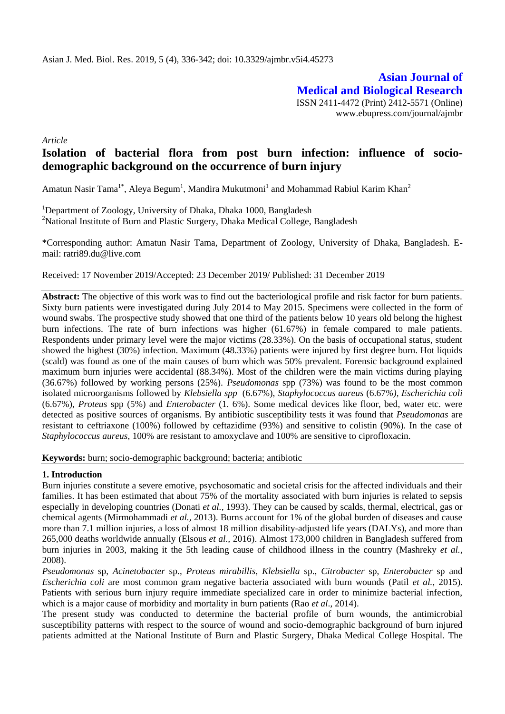**Asian Journal of Medical and Biological Research** ISSN 2411-4472 (Print) 2412-5571 (Online) www.ebupress.com/journal/ajmbr

*Article*

# **Isolation of bacterial flora from post burn infection: influence of sociodemographic background on the occurrence of burn injury**

Amatun Nasir Tama $^{1*}$ , Aleya Begum $^{1}$ , Mandira Mukutmoni $^{1}$  and Mohammad Rabiul Karim Khan $^{2}$ 

<sup>1</sup>Department of Zoology, University of Dhaka, Dhaka 1000, Bangladesh <sup>2</sup>National Institute of Burn and Plastic Surgery, Dhaka Medical College, Bangladesh

\*Corresponding author: Amatun Nasir Tama, Department of Zoology, University of Dhaka, Bangladesh. Email: [ratri89.du@live.com](mailto:ratri89.du@live.com)

Received: 17 November 2019/Accepted: 23 December 2019/ Published: 31 December 2019

**Abstract:** The objective of this work was to find out the bacteriological profile and risk factor for burn patients. Sixty burn patients were investigated during July 2014 to May 2015. Specimens were collected in the form of wound swabs. The prospective study showed that one third of the patients below 10 years old belong the highest burn infections. The rate of burn infections was higher (61.67%) in female compared to male patients. Respondents under primary level were the major victims (28.33%). On the basis of occupational status, student showed the highest (30%) infection. Maximum (48.33%) patients were injured by first degree burn. Hot liquids (scald) was found as one of the main causes of burn which was 50% prevalent. Forensic background explained maximum burn injuries were accidental (88.34%). Most of the children were the main victims during playing (36.67%) followed by working persons (25%). *Pseudomonas* spp (73%) was found to be the most common isolated microorganisms followed by *Klebsiella spp* (6.67%), *Staphylococcus aureus* (6.67*%), Escherichia coli* (6.67%), *Proteus* spp (5%) and *Enterobacter* (1. 6%). Some medical devices like floor, bed, water etc. were detected as positive sources of organisms. By antibiotic susceptibility tests it was found that *Pseudomonas* are resistant to ceftriaxone (100%) followed by ceftazidime (93%) and sensitive to colistin (90%). In the case of *Staphylococcus aureus*, 100% are resistant to amoxyclave and 100% are sensitive to ciprofloxacin.

**Keywords:** burn; socio-demographic background; bacteria; antibiotic

## **1. Introduction**

Burn injuries constitute a severe emotive, psychosomatic and societal crisis for the affected individuals and their families. It has been estimated that about 75% of the mortality associated with burn injuries is related to sepsis especially in developing countries (Donati *et al.,* 1993). They can be caused by scalds, thermal, electrical, gas or chemical agents (Mirmohammadi *et al.,* 2013). Burns account for 1% of the global burden of diseases and cause more than 7.1 million injuries, a loss of almost 18 million disability-adjusted life years (DALYs), and more than 265,000 deaths worldwide annually (Elsous *et al.,* 2016). Almost 173,000 children in Bangladesh suffered from burn injuries in 2003, making it the 5th leading cause of childhood illness in the country (Mashreky *et al.,* 2008).

*Pseudomonas* sp, *Acinetobacter* sp., *Proteus mirabillis*, *Klebsiella* sp., *Citrobacter* sp, *Enterobacter* sp and *Escherichia coli* are most common gram negative bacteria associated with burn wounds (Patil *et al.,* 2015). Patients with serious burn injury require immediate specialized care in order to minimize bacterial infection, which is a major cause of morbidity and mortality in burn patients (Rao *et al*., 2014).

The present study was conducted to determine the bacterial profile of burn wounds, the antimicrobial susceptibility patterns with respect to the source of wound and socio-demographic background of burn injured patients admitted at the National Institute of Burn and Plastic Surgery, Dhaka Medical College Hospital. The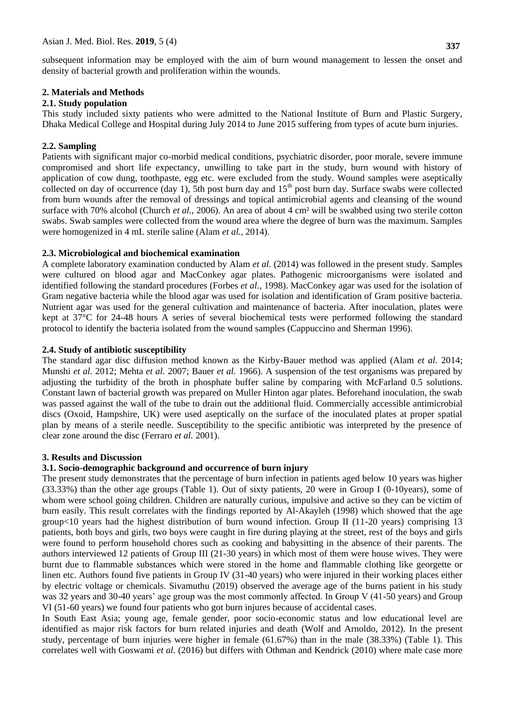subsequent information may be employed with the aim of burn wound management to lessen the onset and density of bacterial growth and proliferation within the wounds.

## **2. Materials and Methods**

## **2.1. Study population**

This study included sixty patients who were admitted to the National Institute of Burn and Plastic Surgery, Dhaka Medical College and Hospital during July 2014 to June 2015 suffering from types of acute burn injuries.

## **2.2. Sampling**

Patients with significant major co-morbid medical conditions, psychiatric disorder, poor morale, severe immune compromised and short life expectancy, unwilling to take part in the study, burn wound with history of application of cow dung, toothpaste, egg etc. were excluded from the study. Wound samples were aseptically collected on day of occurrence (day 1), 5th post burn day and  $15<sup>th</sup>$  post burn day. Surface swabs were collected from burn wounds after the removal of dressings and topical antimicrobial agents and cleansing of the wound surface with 70% alcohol (Church *et al.,* 2006). An area of about 4 cm² will be swabbed using two sterile cotton swabs. Swab samples were collected from the wound area where the degree of burn was the maximum. Samples were homogenized in 4 mL sterile saline (Alam *et al.,* 2014).

## **2.3. Microbiological and biochemical examination**

A complete laboratory examination conducted by Alam *et al.* (2014) was followed in the present study. Samples were cultured on blood agar and MacConkey agar plates. Pathogenic microorganisms were isolated and identified following the standard procedures (Forbes *et al.,* 1998). MacConkey agar was used for the isolation of Gram negative bacteria while the blood agar was used for isolation and identification of Gram positive bacteria. Nutrient agar was used for the general cultivation and maintenance of bacteria. After inoculation, plates were kept at 37°C for 24-48 hours A series of several biochemical tests were performed following the standard protocol to identify the bacteria isolated from the wound samples (Cappuccino and Sherman 1996).

## **2.4. Study of antibiotic susceptibility**

The standard agar disc diffusion method known as the Kirby-Bauer method was applied (Alam *et al.* 2014; Munshi *et al.* 2012; Mehta *et al.* 2007; Bauer *et al.* 1966). A suspension of the test organisms was prepared by adjusting the turbidity of the broth in phosphate buffer saline by comparing with McFarland 0.5 solutions. Constant lawn of bacterial growth was prepared on Muller Hinton agar plates. Beforehand inoculation, the swab was passed against the wall of the tube to drain out the additional fluid. Commercially accessible antimicrobial discs (Oxoid, Hampshire, UK) were used aseptically on the surface of the inoculated plates at proper spatial plan by means of a sterile needle. Susceptibility to the specific antibiotic was interpreted by the presence of clear zone around the disc (Ferraro *et al.* 2001).

## **3. Results and Discussion**

## **3.1. Socio-demographic background and occurrence of burn injury**

The present study demonstrates that the percentage of burn infection in patients aged below 10 years was higher (33.33%) than the other age groups (Table 1). Out of sixty patients, 20 were in Group I (0-10years), some of whom were school going children. Children are naturally curious, impulsive and active so they can be victim of burn easily. This result correlates with the findings reported by Al-Akayleh (1998) which showed that the age group $\lt 10$  years had the highest distribution of burn wound infection. Group II (11-20 years) comprising 13 patients, both boys and girls, two boys were caught in fire during playing at the street, rest of the boys and girls were found to perform household chores such as cooking and babysitting in the absence of their parents. The authors interviewed 12 patients of Group III (21-30 years) in which most of them were house wives. They were burnt due to flammable substances which were stored in the home and flammable clothing like georgette or linen etc. Authors found five patients in Group IV (31-40 years) who were injured in their working places either by electric voltage or chemicals. Sivamuthu (2019) observed the average age of the burns patient in his study was 32 years and 30-40 years' age group was the most commonly affected. In Group V (41-50 years) and Group VI (51-60 years) we found four patients who got burn injures because of accidental cases.

In South East Asia; young age, female gender, poor socio-economic status and low educational level are identified as major risk factors for burn related injuries and death (Wolf and Arnoldo, 2012). In the present study, percentage of burn injuries were higher in female (61.67%) than in the male (38.33%) (Table 1). This correlates well with Goswami *et al.* (2016) but differs with Othman and Kendrick (2010) where male case more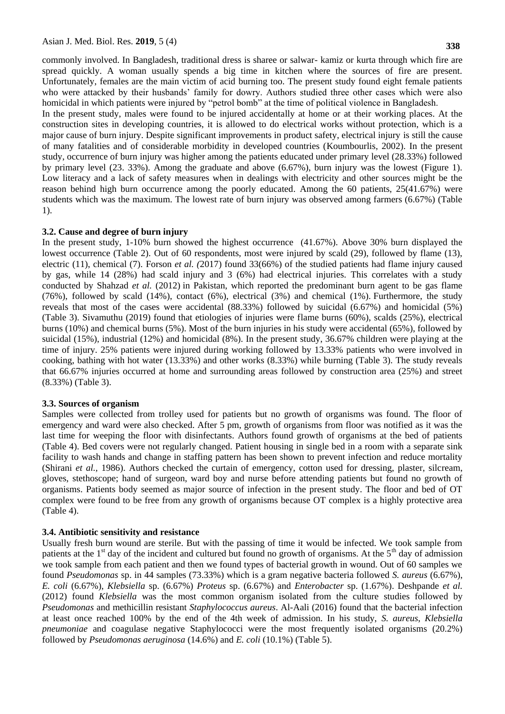commonly involved. In Bangladesh, traditional dress is sharee or salwar- kamiz or kurta through which fire are spread quickly. A woman usually spends a big time in kitchen where the sources of fire are present. Unfortunately, females are the main victim of acid burning too. The present study found eight female patients who were attacked by their husbands' family for dowry. Authors studied three other cases which were also homicidal in which patients were injured by "petrol bomb" at the time of political violence in Bangladesh.

In the present study, males were found to be injured accidentally at home or at their working places. At the construction sites in developing countries, it is allowed to do electrical works without protection, which is a major cause of burn injury. Despite significant improvements in product safety, electrical injury is still the cause of many fatalities and of considerable morbidity in developed countries (Koumbourlis, 2002). In the present study, occurrence of burn injury was higher among the patients educated under primary level (28.33%) followed by primary level (23. 33%). Among the graduate and above (6.67%), burn injury was the lowest (Figure 1). Low literacy and a lack of safety measures when in dealings with electricity and other sources might be the reason behind high burn occurrence among the poorly educated. Among the 60 patients, 25(41.67%) were students which was the maximum. The lowest rate of burn injury was observed among farmers (6.67%) (Table 1).

### **3.2. Cause and degree of burn injury**

In the present study, 1-10% burn showed the highest occurrence (41.67%). Above 30% burn displayed the lowest occurrence (Table 2). Out of 60 respondents, most were injured by scald (29), followed by flame (13), electric (11), chemical (7). Forson *et al. (*2017) found 33(66%) of the studied patients had flame injury caused by gas, while 14 (28%) had scald injury and 3 (6%) had electrical injuries. This correlates with a study conducted by Shahzad *et al.* (2012) in Pakistan, which reported the predominant burn agent to be gas flame (76%), followed by scald (14%), contact (6%), electrical (3%) and chemical (1%). Furthermore, the study reveals that most of the cases were accidental (88.33%) followed by suicidal (6.67%) and homicidal (5%) (Table 3). Sivamuthu (2019) found that etiologies of injuries were flame burns (60%), scalds (25%), electrical burns (10%) and chemical burns (5%). Most of the burn injuries in his study were accidental (65%), followed by suicidal (15%), industrial (12%) and homicidal (8%). In the present study, 36.67% children were playing at the time of injury. 25% patients were injured during working followed by 13.33% patients who were involved in cooking, bathing with hot water (13.33%) and other works (8.33%) while burning (Table 3). The study reveals that 66.67% injuries occurred at home and surrounding areas followed by construction area (25%) and street (8.33%) (Table 3).

### **3.3. Sources of organism**

Samples were collected from trolley used for patients but no growth of organisms was found. The floor of emergency and ward were also checked. After 5 pm, growth of organisms from floor was notified as it was the last time for weeping the floor with disinfectants. Authors found growth of organisms at the bed of patients (Table 4). Bed covers were not regularly changed. Patient housing in single bed in a room with a separate sink facility to wash hands and change in staffing pattern has been shown to prevent infection and reduce mortality (Shirani *et al.,* 1986). Authors checked the curtain of emergency, cotton used for dressing, plaster, silcream, gloves, stethoscope; hand of surgeon, ward boy and nurse before attending patients but found no growth of organisms. Patients body seemed as major source of infection in the present study. The floor and bed of OT complex were found to be free from any growth of organisms because OT complex is a highly protective area (Table 4).

### **3.4. Antibiotic sensitivity and resistance**

Usually fresh burn wound are sterile. But with the passing of time it would be infected. We took sample from patients at the  $1<sup>st</sup>$  day of the incident and cultured but found no growth of organisms. At the  $5<sup>th</sup>$  day of admission we took sample from each patient and then we found types of bacterial growth in wound. Out of 60 samples we found *Pseudomonas* sp. in 44 samples (73.33%) which is a gram negative bacteria followed *S. aureus* (6.67%), *E. coli* (6.67%), *Klebsiella* sp. (6.67%) *Proteus* sp. (6.67%) and *Enterobacter* sp. (1.67%). Deshpande *et al.* (2012) found *Klebsiella* was the most common organism isolated from the culture studies followed by *Pseudomonas* and methicillin resistant *Staphylococcus aureus*. Al-Aali (2016) found that the bacterial infection at least once reached 100% by the end of the 4th week of admission. In his study, *S. aureus*, *Klebsiella pneumoniae* and coagulase negative Staphylococci were the most frequently isolated organisms (20.2%) followed by *Pseudomonas aeruginosa* (14.6%) and *E. coli* (10.1%) (Table 5).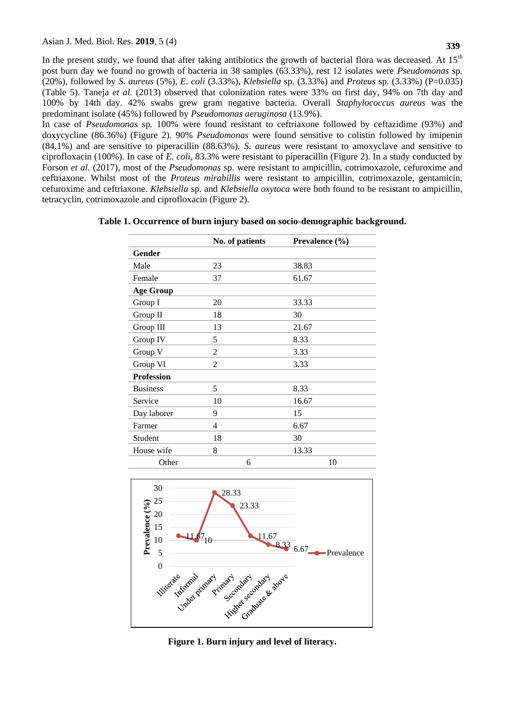In the present study, we found that after taking antibiotics the growth of bacterial flora was decreased. At  $15<sup>th</sup>$ post burn day we found no growth of bacteria in 38 samples (63.33%), rest 12 isolates were *Pseudomonas* sp*.*  (20%), followed by *S. aureus* (5%), *E. coli* (3.33%), *Klebsiella* sp. (3.33%) and *Proteus* sp. (3.33%) (P=0.035) (Table 5). Taneja *et al.* (2013) observed that colonization rates were 33% on first day, 94% on 7th day and 100% by 14th day. 42% swabs grew gram negative bacteria. Overall *Staphylococcus aureus* was the predominant isolate (45%) followed by *Pseudomonas aeruginosa* (13.9%).

In case of *Pseudomonas* sp*.* 100% were found resistant to ceftriaxone followed by ceftazidime (93%) and doxycycline (86.36%) (Figure 2). 90% *Pseudomonas* were found sensitive to colistin followed by imipenin (84.1%) and are sensitive to piperacillin (88.63%). *S. aureus* were resistant to amoxyclave and sensitive to ciprofloxacin (100%). In case of *E. coli*, 83.3% were resistant to piperacillin (Figure 2). In a study conducted by Forson *et al.* (2017), most of the *Pseudomonas* sp. were resistant to ampicillin, cotrimoxazole, cefuroxime and ceftriaxone. Whilst most of the *Proteus mirabillis* were resistant to ampicillin, cotrimoxazole, gentamicin, cefuroxime and ceftriaxone. *Klebsiella* sp. and *Klebsiella oxytoca* were both found to be resistant to ampicillin, tetracyclin, cotrimoxazole and ciprofloxacin (Figure 2).

|                   | No. of patients | Prevalence (%) |
|-------------------|-----------------|----------------|
| Gender            |                 |                |
| Male              | 23              | 38.83          |
| Female            | 37              | 61.67          |
| <b>Age Group</b>  |                 |                |
| Group I           | 20              | 33.33          |
| Group II          | 18              | 30             |
| Group III         | 13              | 21.67          |
| Group IV          | 5               | 8.33           |
| Group V           | $\overline{2}$  | 3.33           |
| Group VI          | $\overline{2}$  | 3.33           |
| <b>Profession</b> |                 |                |
| <b>Business</b>   | 5               | 8.33           |
| Service           | 10              | 16.67          |
| Day laborer       | 9               | 15             |
| Farmer            | 4               | 6.67           |
| Student           | 18              | 30             |
| House wife        | 8               | 13.33          |
| Other             | 6               | 10             |

|  | Table 1. Occurrence of burn injury based on socio-demographic background. |  |  |  |  |  |
|--|---------------------------------------------------------------------------|--|--|--|--|--|
|  |                                                                           |  |  |  |  |  |



**Figure 1. Burn injury and level of literacy.**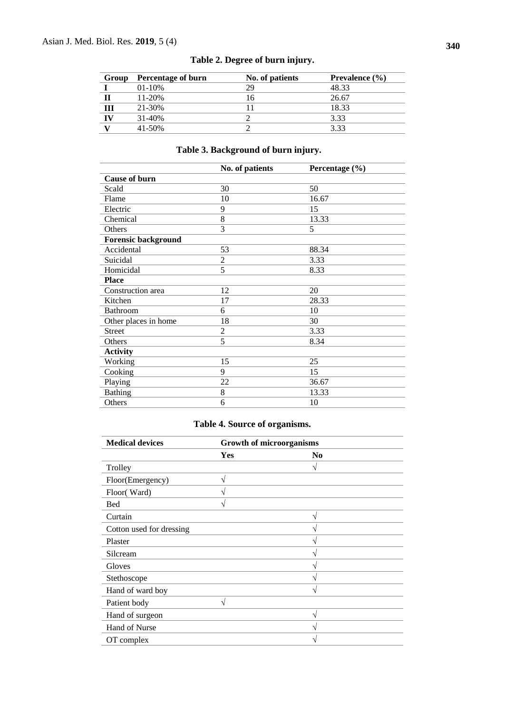| Group | Percentage of burn | No. of patients | Prevalence (%) |
|-------|--------------------|-----------------|----------------|
|       | $01 - 10\%$        | 29              | 48.33          |
|       | $11 - 20%$         | 16              | 26.67          |
| Ш     | 21-30%             |                 | 18.33          |
| IV    | $31 - 40\%$        |                 | 3.33           |
|       | $41 - 50%$         |                 | 3.33           |

## **Table 2. Degree of burn injury.**

# **Table 3. Background of burn injury.**

|                            | No. of patients | Percentage (%) |
|----------------------------|-----------------|----------------|
| <b>Cause of burn</b>       |                 |                |
| Scald                      | 30              | 50             |
| Flame                      | 10              | 16.67          |
| Electric                   | 9               | 15             |
| Chemical                   | 8               | 13.33          |
| Others                     | 3               | 5              |
| <b>Forensic background</b> |                 |                |
| Accidental                 | 53              | 88.34          |
| Suicidal                   | $\overline{c}$  | 3.33           |
| Homicidal                  | 5               | 8.33           |
| <b>Place</b>               |                 |                |
| Construction area          | 12              | 20             |
| Kitchen                    | 17              | 28.33          |
| <b>Bathroom</b>            | 6               | 10             |
| Other places in home       | 18              | 30             |
| <b>Street</b>              | $\overline{2}$  | 3.33           |
| Others                     | 5               | 8.34           |
| <b>Activity</b>            |                 |                |
| Working                    | 15              | 25             |
| Cooking                    | 9               | 15             |
| Playing                    | 22              | 36.67          |
| <b>Bathing</b>             | 8               | 13.33          |
| Others                     | 6               | 10             |

# **Table 4. Source of organisms.**

| <b>Medical devices</b>   | <b>Growth of microorganisms</b> |                            |  |  |  |  |
|--------------------------|---------------------------------|----------------------------|--|--|--|--|
|                          | Yes                             | N <sub>0</sub>             |  |  |  |  |
| Trolley                  |                                 | N                          |  |  |  |  |
| Floor(Emergency)         | V                               |                            |  |  |  |  |
| Floor(Ward)              |                                 |                            |  |  |  |  |
| <b>Bed</b>               | V                               |                            |  |  |  |  |
| Curtain                  |                                 | V                          |  |  |  |  |
| Cotton used for dressing |                                 | ٦                          |  |  |  |  |
| Plaster                  |                                 | $\boldsymbol{\mathcal{A}}$ |  |  |  |  |
| Silcream                 |                                 | $\boldsymbol{\mathcal{A}}$ |  |  |  |  |
| Gloves                   |                                 | N                          |  |  |  |  |
| Stethoscope              |                                 | N                          |  |  |  |  |
| Hand of ward boy         |                                 | N                          |  |  |  |  |
| Patient body             | $\sqrt{}$                       |                            |  |  |  |  |
| Hand of surgeon          |                                 | $\sqrt{}$                  |  |  |  |  |
| Hand of Nurse            |                                 | $\mathcal{L}$              |  |  |  |  |
| OT complex               |                                 | ٦                          |  |  |  |  |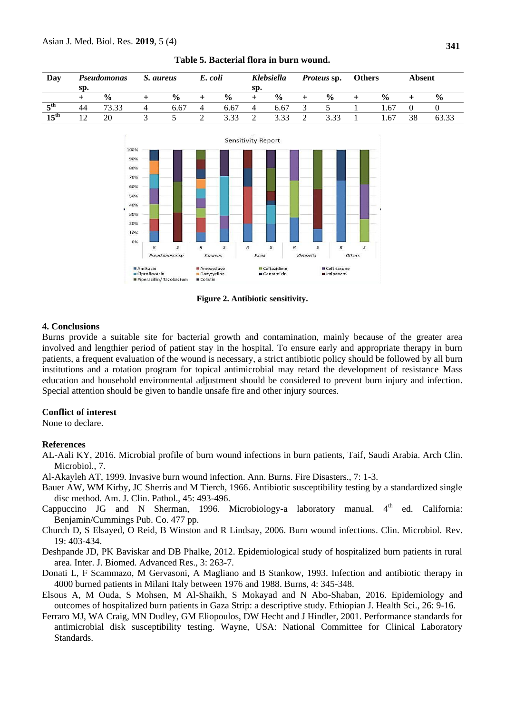| Day                         | Pseudomonas |               | S. aureus |               | E. coli |               | Klebsiella |               | <i>Proteus sp.</i> |                | <b>Others</b> |               | <b>Absent</b> |               |
|-----------------------------|-------------|---------------|-----------|---------------|---------|---------------|------------|---------------|--------------------|----------------|---------------|---------------|---------------|---------------|
|                             | sp.         |               |           |               |         |               | Sp.        |               |                    |                |               |               |               |               |
|                             |             | $\frac{0}{0}$ |           | $\frac{0}{0}$ |         | $\frac{0}{0}$ |            | $\frac{0}{0}$ |                    | $\frac{6}{10}$ |               | $\frac{0}{0}$ |               | $\frac{0}{0}$ |
| $\boldsymbol{\varsigma}$ th | 44          | 73.33         |           | 6.67          | 4       | 6.67          | 4          | 6.67          | $\Delta$           |                |               | 1.67          |               |               |
| $15^{\text{th}}$            | 12          | 20            |           |               |         | 3.33          |            | 3.33          |                    | 3.33           |               | l.67          | 38            |               |
|                             |             |               |           |               |         |               |            |               |                    |                |               |               |               |               |

#### **Table 5. Bacterial flora in burn wound.**

**Sensitivity Report**  $100%$ 90% 80% 70% 60% 50% 40% 30% 20% 10% 0%  $\mathcal{R}$  $\mathcal{S}_{\mathcal{S}}$ s S  $\mathsf S$ R S E.coli Klebsiella Others Pseudomonas sp S.aureus  $\blacksquare$  Amikacin Amoxyclave Ceftazidime Ceftriaxone Ciprofloxacin Doxycycline Gentamicin Imipenem Piperacillin/Tazobactum **E** Colistin

**Figure 2. Antibiotic sensitivity.** 

### **4. Conclusions**

Burns provide a suitable site for bacterial growth and contamination, mainly because of the greater area involved and lengthier period of patient stay in the hospital. To ensure early and appropriate therapy in burn patients, a frequent evaluation of the wound is necessary, a strict antibiotic policy should be followed by all burn institutions and a rotation program for topical antimicrobial may retard the development of resistance Mass education and household environmental adjustment should be considered to prevent burn injury and infection. Special attention should be given to handle unsafe fire and other injury sources.

#### **Conflict of interest**

None to declare.

#### **References**

- AL-Aali KY, 2016. Microbial profile of burn wound infections in burn patients, Taif, Saudi Arabia. Arch Clin. Microbiol., 7.
- Al-Akayleh AT, 1999. Invasive burn wound infection. Ann. Burns. Fire Disasters., 7: 1-3.
- Bauer AW, WM Kirby, JC Sherris and M Tierch, 1966. Antibiotic susceptibility testing by a standardized single disc method. Am. J. Clin. Pathol., 45: 493-496.
- Cappuccino JG and N Sherman, 1996. Microbiology-a laboratory manual.  $4<sup>th</sup>$  ed. California: Benjamin/Cummings Pub. Co. 477 pp.
- Church D, S Elsayed, O Reid, B Winston and R Lindsay, 2006. Burn wound infections. Clin. Microbiol. Rev. 19: 403-434.
- Deshpande JD, PK Baviskar and DB Phalke, 2012. Epidemiological study of hospitalized burn patients in rural area. Inter. J. Biomed. Advanced Res., 3: 263-7.
- Donati L, F Scammazo, M Gervasoni, A Magliano and B Stankow, 1993. Infection and antibiotic therapy in 4000 burned patients in Milani Italy between 1976 and 1988. Burns, 4: 345-348.
- Elsous A, M Ouda, S Mohsen, M Al-Shaikh, S Mokayad and N Abo-Shaban, 2016. Epidemiology and outcomes of hospitalized burn patients in Gaza Strip: a descriptive study. Ethiopian J. Health Sci., 26: 9-16.
- Ferraro MJ, WA Craig, MN Dudley, GM Eliopoulos, DW Hecht and J Hindler, 2001. Performance standards for antimicrobial disk susceptibility testing. Wayne, USA: National Committee for Clinical Laboratory Standards.